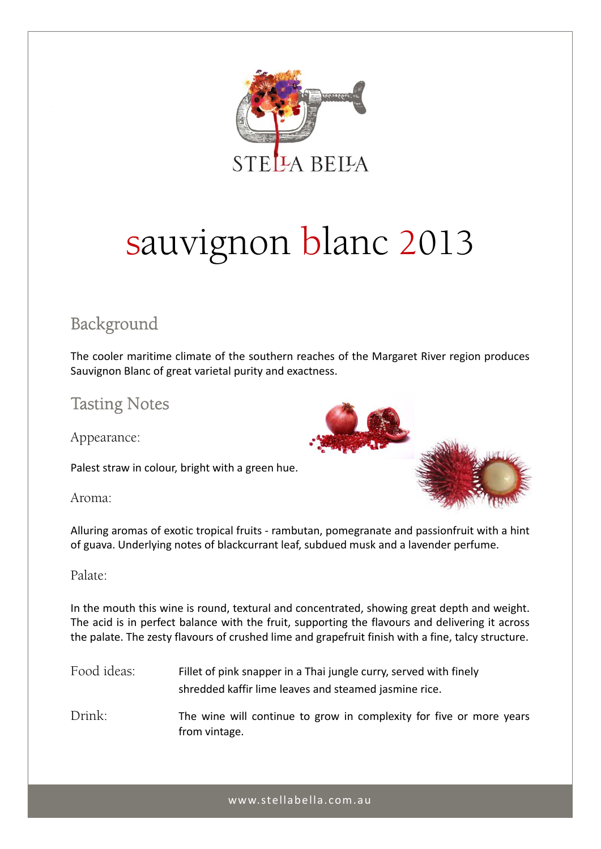

# sauvignon blanc 2013

## Background

The cooler maritime climate of the southern reaches of the Margaret River region produces Sauvignon Blanc of great varietal purity and exactness.

## Tasting Notes

Appearance:

Palest straw in colour, bright with a green hue.

Aroma:



Alluring aromas of exotic tropical fruits ‐ rambutan, pomegranate and passionfruit with a hint of guava. Underlying notes of blackcurrant leaf, subdued musk and a lavender perfume.

### Palate:

In the mouth this wine is round, textural and concentrated, showing great depth and weight. The acid is in perfect balance with the fruit, supporting the flavours and delivering it across the palate. The zesty flavours of crushed lime and grapefruit finish with a fine, talcy structure.

| Food ideas: | Fillet of pink snapper in a Thai jungle curry, served with finely |
|-------------|-------------------------------------------------------------------|
|             | shredded kaffir lime leaves and steamed jasmine rice.             |

Drink: The wine will continue to grow in complexity for five or more years from vintage.